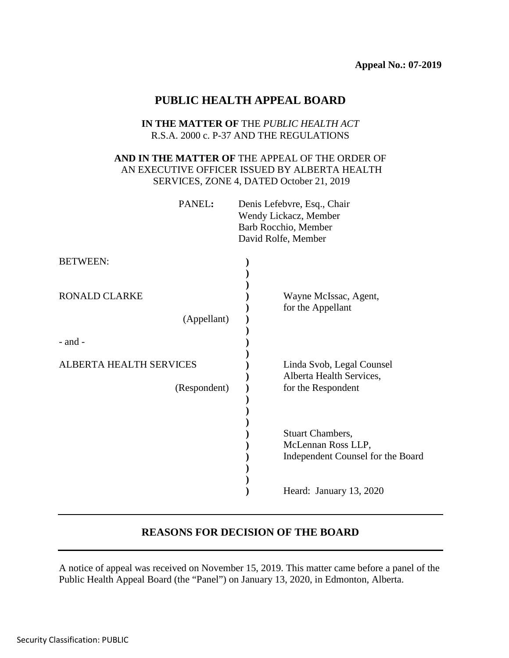# **PUBLIC HEALTH APPEAL BOARD**

### **IN THE MATTER OF** THE *PUBLIC HEALTH ACT* R.S.A. 2000 c. P-37 AND THE REGULATIONS

# **AND IN THE MATTER OF** THE APPEAL OF THE ORDER OF AN EXECUTIVE OFFICER ISSUED BY ALBERTA HEALTH SERVICES, ZONE 4, DATED October 21, 2019

| PANEL: | Denis Lefebvre, Esq., Chair |
|--------|-----------------------------|
|        | Wendy Lickacz, Member       |
|        | Barb Rocchio, Member        |
|        | David Rolfe, Member         |
|        |                             |

| <b>BETWEEN:</b>                         |                                                                                    |
|-----------------------------------------|------------------------------------------------------------------------------------|
| <b>RONALD CLARKE</b><br>(Appellant)     | Wayne McIssac, Agent,<br>for the Appellant                                         |
| $-$ and $-$                             |                                                                                    |
| ALBERTA HEALTH SERVICES<br>(Respondent) | Linda Svob, Legal Counsel<br>Alberta Health Services,<br>for the Respondent        |
|                                         | <b>Stuart Chambers,</b><br>McLennan Ross LLP,<br>Independent Counsel for the Board |
|                                         | Heard: January 13, 2020                                                            |

# **REASONS FOR DECISION OF THE BOARD**

A notice of appeal was received on November 15, 2019. This matter came before a panel of the Public Health Appeal Board (the "Panel") on January 13, 2020, in Edmonton, Alberta.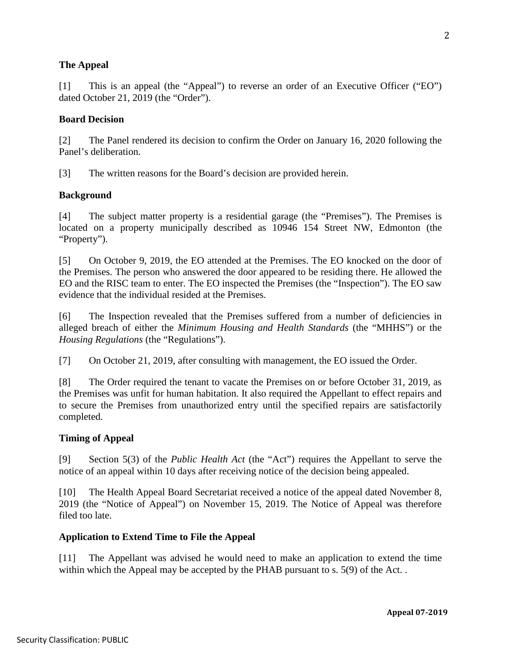## **The Appeal**

[1] This is an appeal (the "Appeal") to reverse an order of an Executive Officer ("EO") dated October 21, 2019 (the "Order").

#### **Board Decision**

[2] The Panel rendered its decision to confirm the Order on January 16, 2020 following the Panel's deliberation.

[3] The written reasons for the Board's decision are provided herein.

#### **Background**

[4] The subject matter property is a residential garage (the "Premises"). The Premises is located on a property municipally described as 10946 154 Street NW, Edmonton (the "Property").

[5] On October 9, 2019, the EO attended at the Premises. The EO knocked on the door of the Premises. The person who answered the door appeared to be residing there. He allowed the EO and the RISC team to enter. The EO inspected the Premises (the "Inspection"). The EO saw evidence that the individual resided at the Premises.

[6] The Inspection revealed that the Premises suffered from a number of deficiencies in alleged breach of either the *Minimum Housing and Health Standards* (the "MHHS") or the *Housing Regulations* (the "Regulations").

[7] On October 21, 2019, after consulting with management, the EO issued the Order.

[8] The Order required the tenant to vacate the Premises on or before October 31, 2019, as the Premises was unfit for human habitation. It also required the Appellant to effect repairs and to secure the Premises from unauthorized entry until the specified repairs are satisfactorily completed.

#### **Timing of Appeal**

[9] Section 5(3) of the *Public Health Act* (the "Act") requires the Appellant to serve the notice of an appeal within 10 days after receiving notice of the decision being appealed.

[10] The Health Appeal Board Secretariat received a notice of the appeal dated November 8, 2019 (the "Notice of Appeal") on November 15, 2019. The Notice of Appeal was therefore filed too late.

#### **Application to Extend Time to File the Appeal**

[11] The Appellant was advised he would need to make an application to extend the time within which the Appeal may be accepted by the PHAB pursuant to s. 5(9) of the Act..

2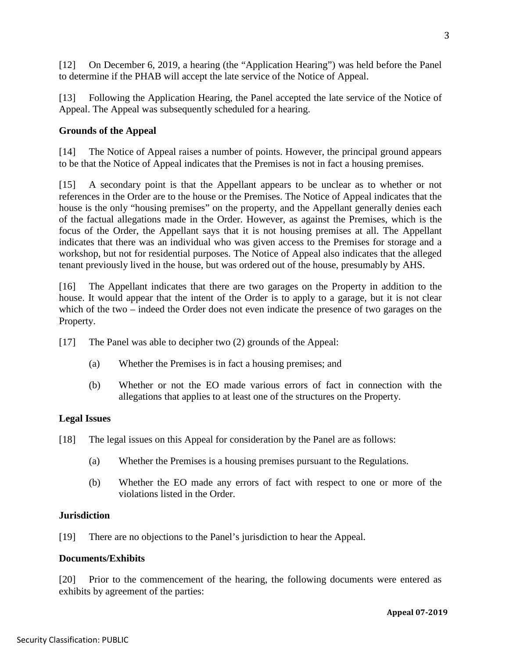[12] On December 6, 2019, a hearing (the "Application Hearing") was held before the Panel to determine if the PHAB will accept the late service of the Notice of Appeal.

[13] Following the Application Hearing, the Panel accepted the late service of the Notice of Appeal. The Appeal was subsequently scheduled for a hearing.

# **Grounds of the Appeal**

[14] The Notice of Appeal raises a number of points. However, the principal ground appears to be that the Notice of Appeal indicates that the Premises is not in fact a housing premises.

[15] A secondary point is that the Appellant appears to be unclear as to whether or not references in the Order are to the house or the Premises. The Notice of Appeal indicates that the house is the only "housing premises" on the property, and the Appellant generally denies each of the factual allegations made in the Order. However, as against the Premises, which is the focus of the Order, the Appellant says that it is not housing premises at all. The Appellant indicates that there was an individual who was given access to the Premises for storage and a workshop, but not for residential purposes. The Notice of Appeal also indicates that the alleged tenant previously lived in the house, but was ordered out of the house, presumably by AHS.

[16] The Appellant indicates that there are two garages on the Property in addition to the house. It would appear that the intent of the Order is to apply to a garage, but it is not clear which of the two – indeed the Order does not even indicate the presence of two garages on the Property.

- [17] The Panel was able to decipher two (2) grounds of the Appeal:
	- (a) Whether the Premises is in fact a housing premises; and
	- (b) Whether or not the EO made various errors of fact in connection with the allegations that applies to at least one of the structures on the Property.

#### **Legal Issues**

- [18] The legal issues on this Appeal for consideration by the Panel are as follows:
	- (a) Whether the Premises is a housing premises pursuant to the Regulations.
	- (b) Whether the EO made any errors of fact with respect to one or more of the violations listed in the Order.

#### **Jurisdiction**

[19] There are no objections to the Panel's jurisdiction to hear the Appeal.

#### **Documents/Exhibits**

[20] Prior to the commencement of the hearing, the following documents were entered as exhibits by agreement of the parties: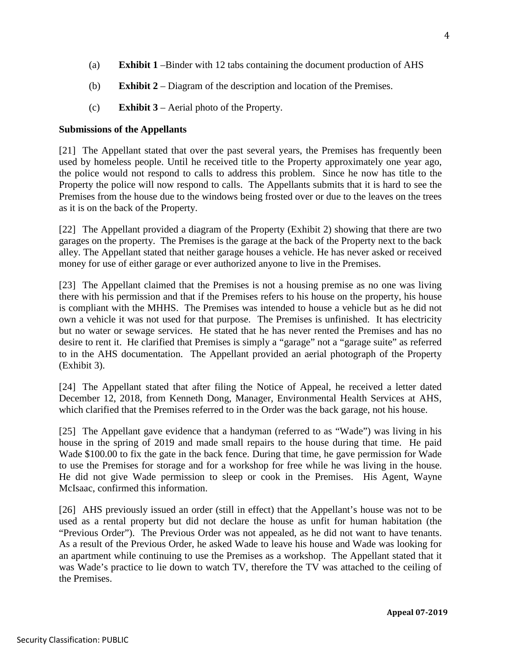- (a) **Exhibit 1** –Binder with 12 tabs containing the document production of AHS
- (b) **Exhibit 2** Diagram of the description and location of the Premises.
- (c) **Exhibit 3**  Aerial photo of the Property.

## **Submissions of the Appellants**

[21] The Appellant stated that over the past several years, the Premises has frequently been used by homeless people. Until he received title to the Property approximately one year ago, the police would not respond to calls to address this problem. Since he now has title to the Property the police will now respond to calls. The Appellants submits that it is hard to see the Premises from the house due to the windows being frosted over or due to the leaves on the trees as it is on the back of the Property.

[22] The Appellant provided a diagram of the Property (Exhibit 2) showing that there are two garages on the property. The Premises is the garage at the back of the Property next to the back alley. The Appellant stated that neither garage houses a vehicle. He has never asked or received money for use of either garage or ever authorized anyone to live in the Premises.

[23] The Appellant claimed that the Premises is not a housing premise as no one was living there with his permission and that if the Premises refers to his house on the property, his house is compliant with the MHHS. The Premises was intended to house a vehicle but as he did not own a vehicle it was not used for that purpose. The Premises is unfinished. It has electricity but no water or sewage services. He stated that he has never rented the Premises and has no desire to rent it. He clarified that Premises is simply a "garage" not a "garage suite" as referred to in the AHS documentation. The Appellant provided an aerial photograph of the Property (Exhibit 3).

[24] The Appellant stated that after filing the Notice of Appeal, he received a letter dated December 12, 2018, from Kenneth Dong, Manager, Environmental Health Services at AHS, which clarified that the Premises referred to in the Order was the back garage, not his house.

[25] The Appellant gave evidence that a handyman (referred to as "Wade") was living in his house in the spring of 2019 and made small repairs to the house during that time. He paid Wade \$100.00 to fix the gate in the back fence. During that time, he gave permission for Wade to use the Premises for storage and for a workshop for free while he was living in the house. He did not give Wade permission to sleep or cook in the Premises. His Agent, Wayne McIsaac, confirmed this information.

[26] AHS previously issued an order (still in effect) that the Appellant's house was not to be used as a rental property but did not declare the house as unfit for human habitation (the "Previous Order"). The Previous Order was not appealed, as he did not want to have tenants. As a result of the Previous Order, he asked Wade to leave his house and Wade was looking for an apartment while continuing to use the Premises as a workshop. The Appellant stated that it was Wade's practice to lie down to watch TV, therefore the TV was attached to the ceiling of the Premises.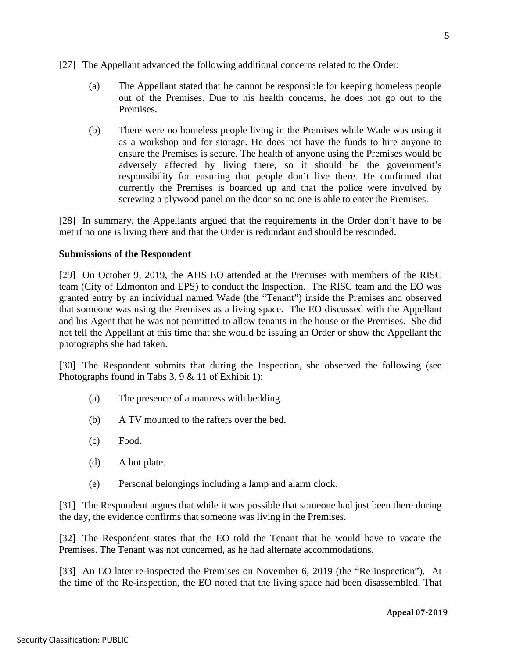- [27] The Appellant advanced the following additional concerns related to the Order:
	- (a) The Appellant stated that he cannot be responsible for keeping homeless people out of the Premises. Due to his health concerns, he does not go out to the Premises.
	- (b) There were no homeless people living in the Premises while Wade was using it as a workshop and for storage. He does not have the funds to hire anyone to ensure the Premises is secure. The health of anyone using the Premises would be adversely affected by living there, so it should be the government's responsibility for ensuring that people don't live there. He confirmed that currently the Premises is boarded up and that the police were involved by screwing a plywood panel on the door so no one is able to enter the Premises.

[28] In summary, the Appellants argued that the requirements in the Order don't have to be met if no one is living there and that the Order is redundant and should be rescinded.

#### **Submissions of the Respondent**

[29] On October 9, 2019, the AHS EO attended at the Premises with members of the RISC team (City of Edmonton and EPS) to conduct the Inspection. The RISC team and the EO was granted entry by an individual named Wade (the "Tenant") inside the Premises and observed that someone was using the Premises as a living space. The EO discussed with the Appellant and his Agent that he was not permitted to allow tenants in the house or the Premises. She did not tell the Appellant at this time that she would be issuing an Order or show the Appellant the photographs she had taken.

[30] The Respondent submits that during the Inspection, she observed the following (see Photographs found in Tabs 3, 9 & 11 of Exhibit 1):

- (a) The presence of a mattress with bedding.
- (b) A TV mounted to the rafters over the bed.
- (c) Food.
- (d) A hot plate.
- (e) Personal belongings including a lamp and alarm clock.

[31] The Respondent argues that while it was possible that someone had just been there during the day, the evidence confirms that someone was living in the Premises.

[32] The Respondent states that the EO told the Tenant that he would have to vacate the Premises. The Tenant was not concerned, as he had alternate accommodations.

[33] An EO later re-inspected the Premises on November 6, 2019 (the "Re-inspection"). At the time of the Re-inspection, the EO noted that the living space had been disassembled. That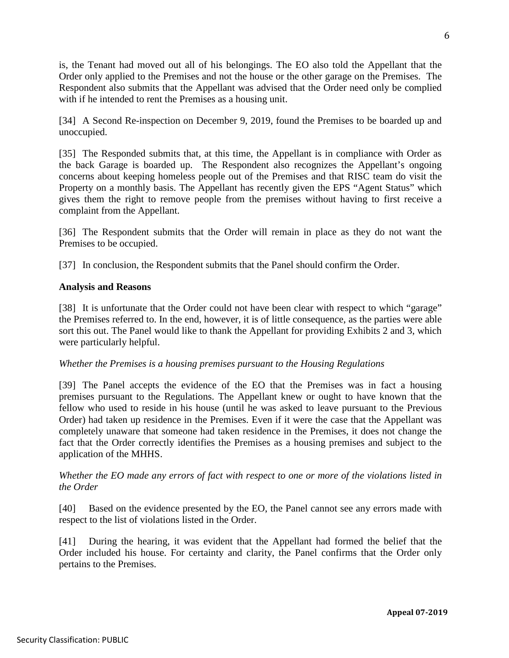is, the Tenant had moved out all of his belongings. The EO also told the Appellant that the Order only applied to the Premises and not the house or the other garage on the Premises. The Respondent also submits that the Appellant was advised that the Order need only be complied with if he intended to rent the Premises as a housing unit.

[34] A Second Re-inspection on December 9, 2019, found the Premises to be boarded up and unoccupied.

[35] The Responded submits that, at this time, the Appellant is in compliance with Order as the back Garage is boarded up. The Respondent also recognizes the Appellant's ongoing concerns about keeping homeless people out of the Premises and that RISC team do visit the Property on a monthly basis. The Appellant has recently given the EPS "Agent Status" which gives them the right to remove people from the premises without having to first receive a complaint from the Appellant.

[36] The Respondent submits that the Order will remain in place as they do not want the Premises to be occupied.

[37] In conclusion, the Respondent submits that the Panel should confirm the Order.

#### **Analysis and Reasons**

[38] It is unfortunate that the Order could not have been clear with respect to which "garage" the Premises referred to. In the end, however, it is of little consequence, as the parties were able sort this out. The Panel would like to thank the Appellant for providing Exhibits 2 and 3, which were particularly helpful.

#### *Whether the Premises is a housing premises pursuant to the Housing Regulations*

[39] The Panel accepts the evidence of the EO that the Premises was in fact a housing premises pursuant to the Regulations. The Appellant knew or ought to have known that the fellow who used to reside in his house (until he was asked to leave pursuant to the Previous Order) had taken up residence in the Premises. Even if it were the case that the Appellant was completely unaware that someone had taken residence in the Premises, it does not change the fact that the Order correctly identifies the Premises as a housing premises and subject to the application of the MHHS.

## *Whether the EO made any errors of fact with respect to one or more of the violations listed in the Order*

[40] Based on the evidence presented by the EO, the Panel cannot see any errors made with respect to the list of violations listed in the Order.

[41] During the hearing, it was evident that the Appellant had formed the belief that the Order included his house. For certainty and clarity, the Panel confirms that the Order only pertains to the Premises.